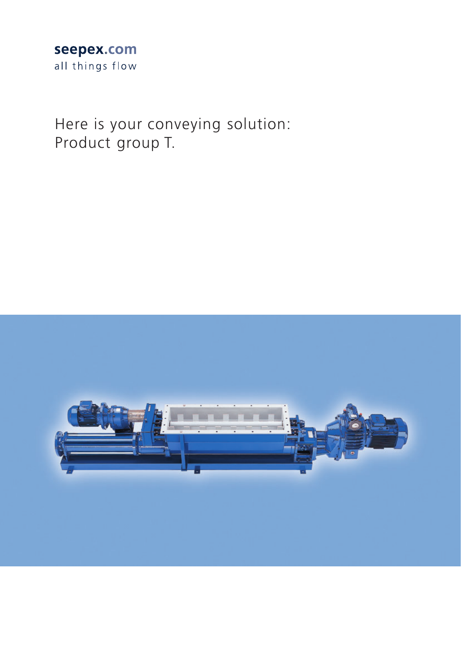## seepex.com all things flow

Here is your conveying solution: Product group T.

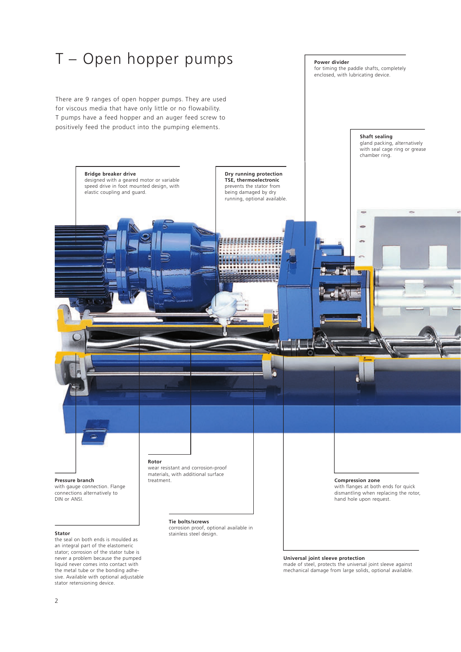

### **Universal joint sleeve protection**

made of steel, protects the universal joint sleeve against mechanical damage from large solids, optional available.

an integral part of the elastomeric stator; corrosion of the stator tube is never a problem because the pumped liquid never comes into contact with the metal tube or the bonding adhesive. Available with optional adjustable stator retensioning device.

2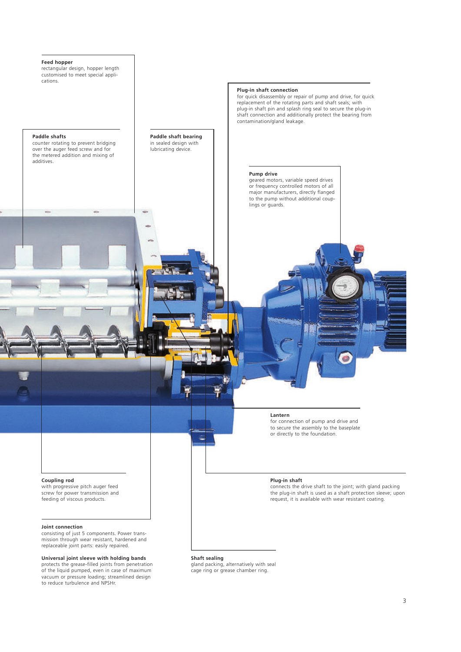

**Coupling rod** 

with progressive pitch auger feed screw for power transmission and feeding of viscous products.

#### **Joint connection**

consisting of just 5 components. Power transmission through wear resistant, hardened and mission amodge recar resistant, naractively

### **Universal joint sleeve with holding bands**

protects the grease-filled joints from penetration of the liquid pumped, even in case of maximum vacuum or pressure loading; streamlined design to reduce turbulence and NPSHr.

### **Shaft sealing**

gland packing, alternatively with seal cage ring or grease chamber ring.

connects the drive shaft to the joint; with gland packing the plug-in shaft is used as a shaft protection sleeve; upon request, it is available with wear resistant coating.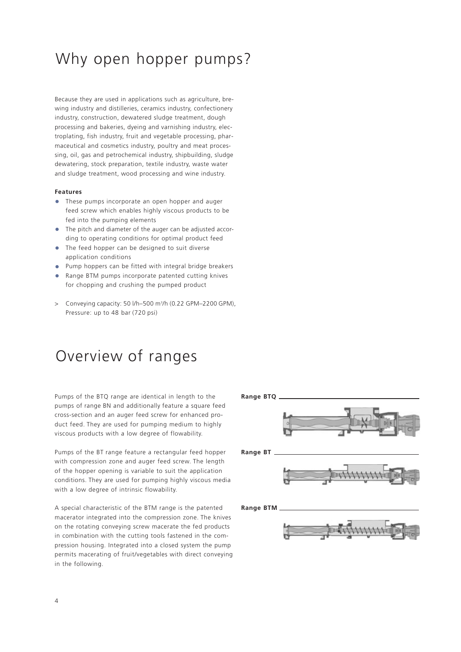# Why open hopper pumps?

Because they are used in applications such as agriculture, brewing industry and distilleries, ceramics industry, confectionery industry, construction, dewatered sludge treatment, dough processing and bakeries, dyeing and varnishing industry, electroplating, fish industry, fruit and vegetable processing, pharmaceutical and cosmetics industry, poultry and meat processing, oil, gas and petrochemical industry, shipbuilding, sludge dewatering, stock preparation, textile industry, waste water and sludge treatment, wood processing and wine industry.

### **Features**

- **•** These pumps incorporate an open hopper and auger feed screw which enables highly viscous products to be fed into the pumping elements
- **•** The pitch and diameter of the auger can be adjusted according to operating conditions for optimal product feed
- **•** The feed hopper can be designed to suit diverse application conditions
- **•** Pump hoppers can be fitted with integral bridge breakers
- **•** Range BTM pumps incorporate patented cutting knives for chopping and crushing the pumped product
- > Conveying capacity: 50 l/h–500 m3 /h (0.22 GPM–2200 GPM), Pressure: up to 48 bar (720 psi)

# Overview of ranges

Pumps of the BTQ range are identical in length to the pumps of range BN and additionally feature a square feed cross-section and an auger feed screw for enhanced product feed. They are used for pumping medium to highly viscous products with a low degree of flowability.

Pumps of the BT range feature a rectangular feed hopper with compression zone and auger feed screw. The length of the hopper opening is variable to suit the application conditions. They are used for pumping highly viscous media with a low degree of intrinsic flowability.

A special characteristic of the BTM range is the patented macerator integrated into the compression zone. The knives on the rotating conveying screw macerate the fed products in combination with the cutting tools fastened in the compression housing. Integrated into a closed system the pump permits macerating of fruit/vegetables with direct conveying in the following.

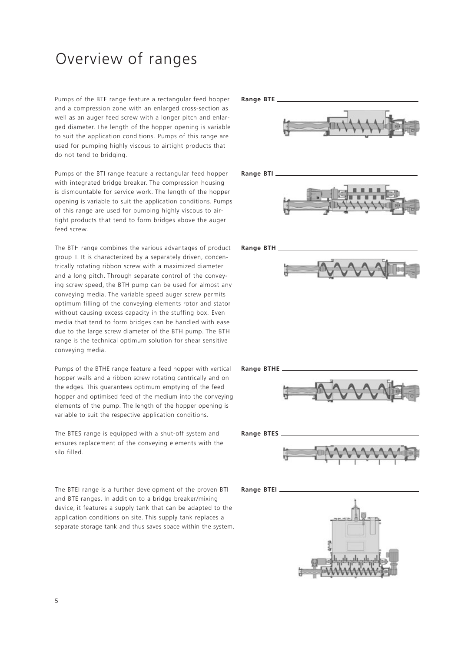# Overview of ranges

Pumps of the BTE range feature a rectangular feed hopper **Range BTE** and a compression zone with an enlarged cross-section as well as an auger feed screw with a longer pitch and enlarged diameter. The length of the hopper opening is variable to suit the application conditions. Pumps of this range are used for pumping highly viscous to airtight products that do not tend to bridging.

Pumps of the BTI range feature a rectangular feed hopper Range BTI. with integrated bridge breaker. The compression housing is dismountable for service work. The length of the hopper opening is variable to suit the application conditions. Pumps of this range are used for pumping highly viscous to airtight products that tend to form bridges above the auger feed screw.

The BTH range combines the various advantages of product group T. It is characterized by a separately driven, concentrically rotating ribbon screw with a maximized diameter and a long pitch. Through separate control of the conveying screw speed, the BTH pump can be used for almost any conveying media. The variable speed auger screw permits optimum filling of the conveying elements rotor and stator without causing excess capacity in the stuffing box. Even media that tend to form bridges can be handled with ease due to the large screw diameter of the BTH pump. The BTH range is the technical optimum solution for shear sensitive conveying media.

Pumps of the BTHE range feature a feed hopper with vertical hopper walls and a ribbon screw rotating centrically and on the edges. This guarantees optimum emptying of the feed hopper and optimised feed of the medium into the conveying elements of the pump. The length of the hopper opening is variable to suit the respective application conditions.

The BTES range is equipped with a shut-off system and **Range BTES** ensures replacement of the conveying elements with the silo filled.

The BTEI range is a further development of the proven BTI and BTE ranges. In addition to a bridge breaker/mixing device, it features a supply tank that can be adapted to the application conditions on site. This supply tank replaces a separate storage tank and thus saves space within the system.